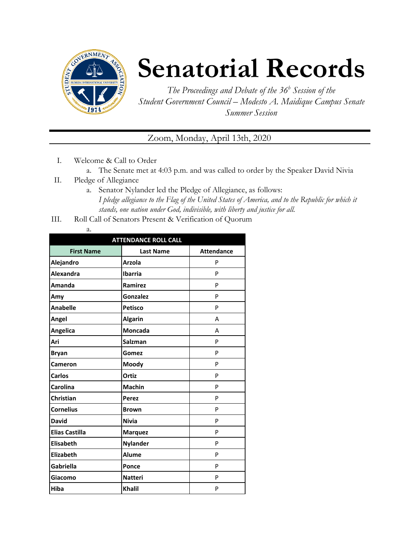

## **Senatorial Records**

*The Proceedings and Debate of the 36 <sup>h</sup> Session of the Student Government Council – Modesto A. Maidique Campus Senate Summer Session*

## Zoom, Monday, April 13th, 2020

- I. Welcome & Call to Order
	- a. The Senate met at 4:03 p.m. and was called to order by the Speaker David Nivia
- II. Pledge of Allegiance
	- a. Senator Nylander led the Pledge of Allegiance, as follows: *I pledge allegiance to the Flag of the United States of America, and to the Republic for which it stands, one nation under God, indivisible, with liberty and justice for all.*
- III. Roll Call of Senators Present & Verification of Quorum
	- a.

| <b>ATTENDANCE ROLL CALL</b> |                  |                   |  |  |
|-----------------------------|------------------|-------------------|--|--|
| <b>First Name</b>           | <b>Last Name</b> | <b>Attendance</b> |  |  |
| Alejandro                   | <b>Arzola</b>    | P                 |  |  |
| Alexandra                   | <b>Ibarria</b>   | P                 |  |  |
| Amanda                      | Ramirez          | P                 |  |  |
| Amy                         | <b>Gonzalez</b>  | P                 |  |  |
| <b>Anabelle</b>             | <b>Petisco</b>   | P                 |  |  |
| Angel                       | <b>Algarin</b>   | А                 |  |  |
| Angelica                    | <b>Moncada</b>   | A                 |  |  |
| Ari                         | <b>Salzman</b>   | P                 |  |  |
| <b>Bryan</b>                | Gomez            | P                 |  |  |
| Cameron                     | Moody            | P                 |  |  |
| <b>Carlos</b>               | Ortiz            | P                 |  |  |
| Carolina                    | <b>Machin</b>    | P                 |  |  |
| Christian                   | Perez            | P                 |  |  |
| <b>Cornelius</b>            | <b>Brown</b>     | P                 |  |  |
| <b>David</b>                | <b>Nivia</b>     | P                 |  |  |
| <b>Elias Castilla</b>       | <b>Marquez</b>   | P                 |  |  |
| <b>Elisabeth</b>            | <b>Nylander</b>  | P                 |  |  |
| Elizabeth                   | Alume            | P                 |  |  |
| <b>Gabriella</b>            | Ponce            | P                 |  |  |
| Giacomo                     | <b>Natteri</b>   | P                 |  |  |
| <b>Hiba</b>                 | <b>Khalil</b>    | P                 |  |  |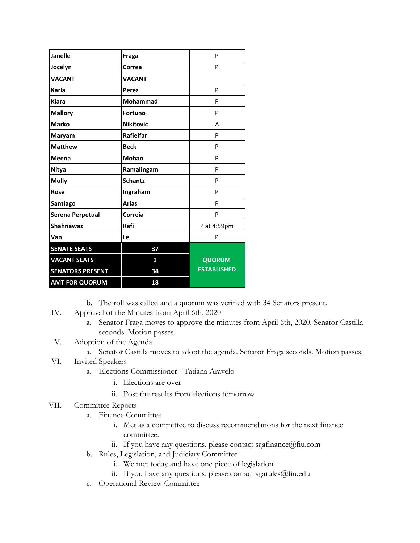| Janelle                 | <b>Fraga</b>     | P                  |
|-------------------------|------------------|--------------------|
| Jocelyn                 | Correa           | P                  |
| <b>VACANT</b>           | <b>VACANT</b>    |                    |
| Karla                   | Perez            | P                  |
| <b>Kiara</b>            | Mohammad         | P                  |
| <b>Mallory</b>          | <b>Fortuno</b>   | P                  |
| <b>Marko</b>            | <b>Nikitovic</b> | A                  |
| Maryam                  | Rafieifar        | P                  |
| <b>Matthew</b>          | <b>Beck</b>      | P                  |
| Meena                   | <b>Mohan</b>     | P                  |
| <b>Nitya</b>            | Ramalingam       | P                  |
| <b>Molly</b>            | <b>Schantz</b>   | P                  |
| Rose                    | Ingraham         | P                  |
| Santiago                | <b>Arias</b>     | P                  |
| Serena Perpetual        | Correia          | P                  |
| <b>Shahnawaz</b>        | Rafi             | P at 4:59pm        |
| Van                     | Le               | P                  |
| <b>SENATE SEATS</b>     | 37               |                    |
| <b>VACANT SEATS</b>     | 1                | <b>QUORUM</b>      |
| <b>SENATORS PRESENT</b> | 34               | <b>ESTABLISHED</b> |
| <b>AMT FOR QUORUM</b>   | 18               |                    |

- b. The roll was called and a quorum was verified with 34 Senators present.
- IV. Approval of the Minutes from April 6th, 2020
	- a. Senator Fraga moves to approve the minutes from April 6th, 2020. Senator Castilla seconds. Motion passes.
- V. Adoption of the Agenda
	- a. Senator Castilla moves to adopt the agenda. Senator Fraga seconds. Motion passes.
- VI. Invited Speakers
	- a. Elections Commissioner Tatiana Aravelo
		- i. Elections are over
		- ii. Post the results from elections tomorrow

## VII. Committee Reports

- a. Finance Committee
	- i. Met as a committee to discuss recommendations for the next finance committee.
	- ii. If you have any questions, please contact sgafinance@fiu.com
- b. Rules, Legislation, and Judiciary Committee
	- i. We met today and have one piece of legislation
	- ii. If you have any questions, please contact sgarules@fiu.edu
- c. Operational Review Committee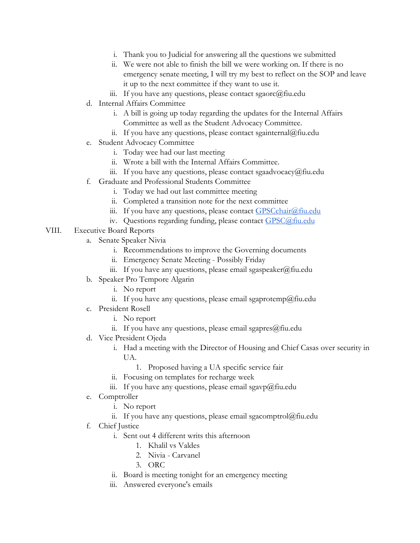- i. Thank you to Judicial for answering all the questions we submitted
- ii. We were not able to finish the bill we were working on. If there is no emergency senate meeting, I will try my best to reflect on the SOP and leave it up to the next committee if they want to use it.
- iii. If you have any questions, please contact sgaorc $@$ fiu.edu
- d. Internal Affairs Committee
	- i. A bill is going up today regarding the updates for the Internal Affairs Committee as well as the Student Advocacy Committee.
	- ii. If you have any questions, please contact sgainternal@fiu.edu
- e. Student Advocacy Committee
	- i. Today wee had our last meeting
	- ii. Wrote a bill with the Internal Affairs Committee.
	- iii. If you have any questions, please contact sgaadvocacy@fiu.edu
- f. Graduate and Professional Students Committee
	- i. Today we had out last committee meeting
	- ii. Completed a transition note for the next committee
	- iii. If you have any questions, please contact [GPSCchair@fiu.edu](mailto:GPSCchair@fiu.edu)
	- iv. Questions regarding funding, please contact [GPSC@fiu.edu](mailto:GPC@fiu.edu)
- VIII. Executive Board Reports
	- a. Senate Speaker Nivia
		- i. Recommendations to improve the Governing documents
		- ii. Emergency Senate Meeting Possibly Friday
		- iii. If you have any questions, please email sgaspeaker@fiu.edu
	- b. Speaker Pro Tempore Algarin
		- i. No report
		- ii. If you have any questions, please email sgaprotemp@fiu.edu
	- c. President Rosell
		- i. No report
		- ii. If you have any questions, please email sgapres $@$ fiu.edu
	- d. Vice President Ojeda
		- i. Had a meeting with the Director of Housing and Chief Casas over security in UA.
			- 1. Proposed having a UA specific service fair
		- ii. Focusing on templates for recharge week
		- iii. If you have any questions, please email sgavp@fiu.edu
	- e. Comptroller
		- i. No report
		- ii. If you have any questions, please email sgacomptrol $@$ fiu.edu
	- f. Chief Justice
		- i. Sent out 4 different writs this afternoon
			- 1. Khalil vs Valdes
			- 2. Nivia Carvanel
			- 3. ORC
		- ii. Board is meeting tonight for an emergency meeting
		- iii. Answered everyone's emails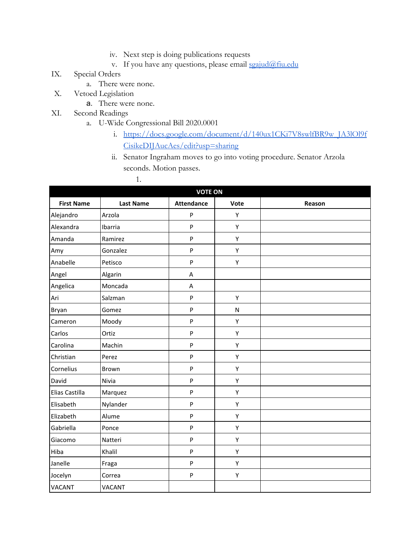- iv. Next step is doing publications requests
- v. If you have any questions, please email [sgajud@fiu.edu](mailto:sgajud@fiu.edu)
- IX. Special Orders
	- a. There were none.
- X. Vetoed Legislation
	- a. There were none.
- XI. Second Readings
	- a. U-Wide Congressional Bill 2020.0001
		- i. [https://docs.google.com/document/d/140ux1CKi7V8swlfBR9w\\_JA3lOl9f](https://docs.google.com/document/d/140ux1CKi7V8swlfBR9w_JA3lOl9fCisikeDIJAucAes/edit?usp=sharing) [CisikeDIJAucAes/edit?usp=sharing](https://docs.google.com/document/d/140ux1CKi7V8swlfBR9w_JA3lOl9fCisikeDIJAucAes/edit?usp=sharing)
		- ii. Senator Ingraham moves to go into voting procedure. Senator Arzola seconds. Motion passes.

1.

| <b>VOTE ON</b>    |                  |                           |           |        |
|-------------------|------------------|---------------------------|-----------|--------|
| <b>First Name</b> | <b>Last Name</b> | <b>Attendance</b>         | Vote      | Reason |
| Alejandro         | Arzola           | P                         | Υ         |        |
| Alexandra         | Ibarria          | $\sf P$                   | Υ         |        |
| Amanda            | Ramirez          | P                         | Y         |        |
| Amy               | Gonzalez         | P                         | Y         |        |
| Anabelle          | Petisco          | $\boldsymbol{\mathsf{P}}$ | Υ         |        |
| Angel             | Algarin          | Α                         |           |        |
| Angelica          | Moncada          | Α                         |           |        |
| Ari               | Salzman          | P                         | Υ         |        |
| Bryan             | Gomez            | $\sf P$                   | ${\sf N}$ |        |
| Cameron           | Moody            | ${\sf P}$                 | Υ         |        |
| Carlos            | Ortiz            | ${\sf P}$                 | Υ         |        |
| Carolina          | Machin           | $\sf P$                   | Y         |        |
| Christian         | Perez            | P                         | Y         |        |
| Cornelius         | Brown            | $\boldsymbol{\mathsf{P}}$ | Y         |        |
| David             | Nivia            | ${\sf P}$                 | Υ         |        |
| Elias Castilla    | Marquez          | P                         | Υ         |        |
| Elisabeth         | Nylander         | $\mathsf{P}$              | Υ         |        |
| Elizabeth         | Alume            | $\sf P$                   | Υ         |        |
| Gabriella         | Ponce            | ${\sf P}$                 | Υ         |        |
| Giacomo           | Natteri          | ${\sf P}$                 | Y         |        |
| Hiba              | Khalil           | $\sf P$                   | Υ         |        |
| Janelle           | Fraga            | $\sf P$                   | Υ         |        |
| Jocelyn           | Correa           | $\boldsymbol{\mathsf{P}}$ | Υ         |        |
| VACANT            | <b>VACANT</b>    |                           |           |        |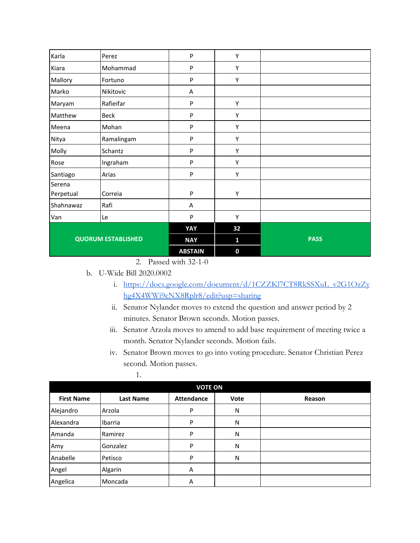| Karla                     | Perez       | P              | Υ        |             |
|---------------------------|-------------|----------------|----------|-------------|
| Kiara                     | Mohammad    | P              | Y        |             |
| Mallory                   | Fortuno     | P              | Υ        |             |
| Marko                     | Nikitovic   | Α              |          |             |
| Maryam                    | Rafieifar   | P              | Υ        |             |
| Matthew                   | <b>Beck</b> | P              | Υ        |             |
| Meena                     | Mohan       | P              | Y        |             |
| Nitya                     | Ramalingam  | P              | Υ        |             |
| Molly                     | Schantz     | P              | Υ        |             |
| Rose                      | Ingraham    | P              | Υ        |             |
| Santiago                  | Arias       | P              | Υ        |             |
| Serena                    |             |                |          |             |
| Perpetual                 | Correia     | P              | Υ        |             |
| Shahnawaz                 | Rafi        | Α              |          |             |
| Van                       | Le          | P              | Υ        |             |
|                           |             | YAY            | 32       |             |
| <b>QUORUM ESTABLISHED</b> |             | <b>NAY</b>     | 1        | <b>PASS</b> |
|                           |             | <b>ABSTAIN</b> | $\bf{0}$ |             |

2. Passed with 32-1-0

b. U-Wide Bill 2020.0002

- i. [https://docs.google.com/document/d/1CZZKl7CT8RkSSXuL\\_v2G1OzZy](https://docs.google.com/document/d/1CZZKl7CT8RkSSXuL_v2G1OzZyhg4X4WWi9cNX8Rplr8/edit?usp=sharing) [hg4X4WWi9cNX8Rplr8/edit?usp=sharing](https://docs.google.com/document/d/1CZZKl7CT8RkSSXuL_v2G1OzZyhg4X4WWi9cNX8Rplr8/edit?usp=sharing)
- ii. Senator Nylander moves to extend the question and answer period by 2 minutes. Senator Brown seconds. Motion passes.
- iii. Senator Arzola moves to amend to add base requirement of meeting twice a month. Senator Nylander seconds. Motion fails.
- iv. Senator Brown moves to go into voting procedure. Senator Christian Perez second. Motion passes.

| I |  |  |
|---|--|--|
| ٠ |  |  |

| <b>VOTE ON</b>    |                  |                   |      |        |
|-------------------|------------------|-------------------|------|--------|
| <b>First Name</b> | <b>Last Name</b> | <b>Attendance</b> | Vote | Reason |
| Alejandro         | Arzola           | P                 | N    |        |
| Alexandra         | Ibarria          | P                 | N    |        |
| Amanda            | Ramirez          | P                 | N    |        |
| Amy               | Gonzalez         | P                 | N    |        |
| Anabelle          | Petisco          | P                 | N    |        |
| Angel             | Algarin          | Α                 |      |        |
| Angelica          | Moncada          | A                 |      |        |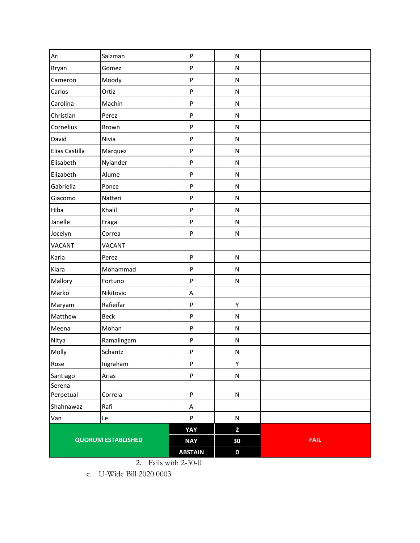| Ari                       | Salzman       | ${\sf P}$                 | ${\sf N}$                            |             |
|---------------------------|---------------|---------------------------|--------------------------------------|-------------|
| Bryan                     | Gomez         | $\boldsymbol{\mathsf{P}}$ | ${\sf N}$                            |             |
| Cameron                   | Moody         | ${\sf P}$                 | ${\sf N}$                            |             |
| Carlos                    | Ortiz         | ${\sf P}$                 | ${\sf N}$                            |             |
| Carolina                  | Machin        | ${\sf P}$                 | ${\sf N}$                            |             |
| Christian                 | Perez         | P                         | ${\sf N}$                            |             |
| Cornelius                 | Brown         | ${\sf P}$                 | ${\sf N}$                            |             |
| David                     | Nivia         | ${\sf P}$                 | ${\sf N}$                            |             |
| Elias Castilla            | Marquez       | ${\sf P}$                 | ${\sf N}$                            |             |
| Elisabeth                 | Nylander      | $\boldsymbol{\mathsf{P}}$ | ${\sf N}$                            |             |
| Elizabeth                 | Alume         | ${\sf P}$                 | ${\sf N}$                            |             |
| Gabriella                 | Ponce         | $\boldsymbol{\mathsf{P}}$ | ${\sf N}$                            |             |
| Giacomo                   | Natteri       | ${\sf P}$                 | ${\sf N}$                            |             |
| Hiba                      | Khalil        | ${\sf P}$                 | ${\sf N}$                            |             |
| Janelle                   | Fraga         | $\boldsymbol{\mathsf{P}}$ | ${\sf N}$                            |             |
| Jocelyn                   | Correa        | ${\sf P}$                 | N                                    |             |
| <b>VACANT</b>             | <b>VACANT</b> |                           |                                      |             |
| Karla                     | Perez         | $\sf P$                   | ${\sf N}$                            |             |
| Kiara                     | Mohammad      | $\boldsymbol{\mathsf{P}}$ | ${\sf N}$                            |             |
| Mallory                   | Fortuno       | ${\sf P}$                 | ${\sf N}$                            |             |
| Marko                     | Nikitovic     | А                         |                                      |             |
| Maryam                    | Rafieifar     | ${\sf P}$                 | Υ                                    |             |
| Matthew                   | <b>Beck</b>   | ${\sf P}$                 | N                                    |             |
| Meena                     | Mohan         | $\boldsymbol{\mathsf{P}}$ | ${\sf N}$                            |             |
| Nitya                     | Ramalingam    | ${\sf P}$                 | ${\sf N}$                            |             |
| Molly                     | Schantz       | ${\sf P}$                 | ${\sf N}$                            |             |
| Rose                      | Ingraham      | $\boldsymbol{\mathsf{P}}$ | Υ                                    |             |
| Santiago                  | Arias         | P                         | ${\sf N}$                            |             |
| Serena                    |               |                           |                                      |             |
| Perpetual                 | Correia       | ${\sf P}$                 | ${\sf N}$                            |             |
| Shahnawaz                 | Rafi          | A                         |                                      |             |
| Van                       | Le            | ${\sf P}$                 | ${\sf N}$<br>$\overline{\mathbf{2}}$ |             |
| <b>QUORUM ESTABLISHED</b> |               | YAY<br><b>NAY</b>         | 30                                   | <b>FAIL</b> |
|                           |               | <b>ABSTAIN</b>            | $\pmb{0}$                            |             |
|                           |               |                           |                                      |             |

2. Fails with 2-30-0

c. U-Wide Bill 2020.0003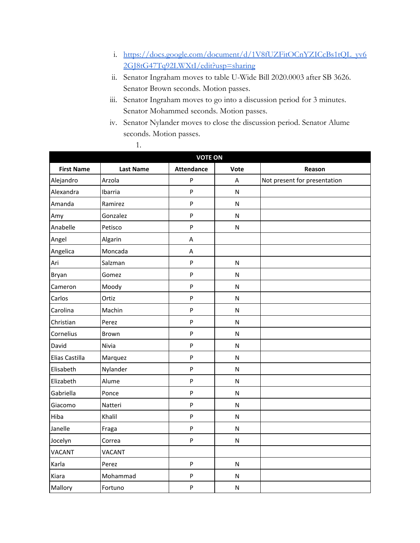- i. [https://docs.google.com/document/d/1V8fUZFitOCnYZICcBs1tQL\\_yv6](https://docs.google.com/document/d/1V8fUZFitOCnYZICcBs1tQL_yv62GJ8tG47Tq92LWXtI/edit?usp=sharing) [2GJ8tG47Tq92LWXtI/edit?usp=sharing](https://docs.google.com/document/d/1V8fUZFitOCnYZICcBs1tQL_yv62GJ8tG47Tq92LWXtI/edit?usp=sharing)
- ii. Senator Ingraham moves to table U-Wide Bill 2020.0003 after SB 3626. Senator Brown seconds. Motion passes.
- iii. Senator Ingraham moves to go into a discussion period for 3 minutes. Senator Mohammed seconds. Motion passes.
- iv. Senator Nylander moves to close the discussion period. Senator Alume seconds. Motion passes.

1.

| <b>VOTE ON</b>    |                  |                   |              |                              |  |
|-------------------|------------------|-------------------|--------------|------------------------------|--|
| <b>First Name</b> | <b>Last Name</b> | <b>Attendance</b> | Vote         | Reason                       |  |
| Alejandro         | Arzola           | P                 | A            | Not present for presentation |  |
| Alexandra         | Ibarria          | P                 | $\mathsf{N}$ |                              |  |
| Amanda            | Ramirez          | P                 | ${\sf N}$    |                              |  |
| Amy               | Gonzalez         | P                 | N            |                              |  |
| Anabelle          | Petisco          | P                 | $\mathsf{N}$ |                              |  |
| Angel             | Algarin          | A                 |              |                              |  |
| Angelica          | Moncada          | A                 |              |                              |  |
| Ari               | Salzman          | $\sf P$           | $\mathsf{N}$ |                              |  |
| Bryan             | Gomez            | P                 | $\mathsf{N}$ |                              |  |
| Cameron           | Moody            | ${\sf P}$         | $\mathsf{N}$ |                              |  |
| Carlos            | Ortiz            | P                 | $\mathsf{N}$ |                              |  |
| Carolina          | Machin           | P                 | N            |                              |  |
| Christian         | Perez            | P                 | ${\sf N}$    |                              |  |
| Cornelius         | Brown            | P                 | $\mathsf{N}$ |                              |  |
| David             | Nivia            | P                 | N            |                              |  |
| Elias Castilla    | Marquez          | P                 | N            |                              |  |
| Elisabeth         | Nylander         | P                 | N            |                              |  |
| Elizabeth         | Alume            | P                 | ${\sf N}$    |                              |  |
| Gabriella         | Ponce            | P                 | $\mathsf{N}$ |                              |  |
| Giacomo           | Natteri          | P                 | $\mathsf{N}$ |                              |  |
| Hiba              | Khalil           | P                 | ${\sf N}$    |                              |  |
| Janelle           | Fraga            | P                 | $\mathsf{N}$ |                              |  |
| Jocelyn           | Correa           | P                 | ${\sf N}$    |                              |  |
| <b>VACANT</b>     | <b>VACANT</b>    |                   |              |                              |  |
| Karla             | Perez            | P                 | ${\sf N}$    |                              |  |
| Kiara             | Mohammad         | P                 | ${\sf N}$    |                              |  |
| Mallory           | Fortuno          | P                 | $\mathsf{N}$ |                              |  |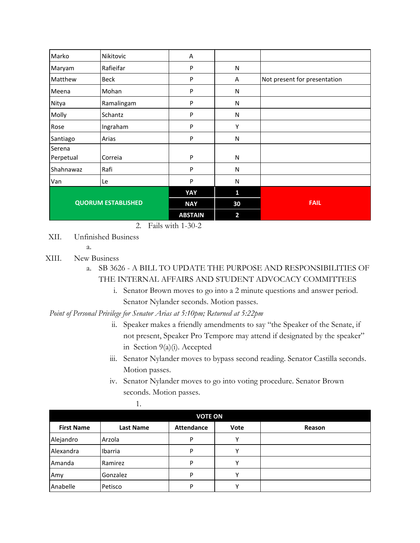| Van                 | Le         | P | N         |                              |
|---------------------|------------|---|-----------|------------------------------|
| Shahnawaz           | Rafi       | P | N         |                              |
| Serena<br>Perpetual | Correia    | P | N         |                              |
| Santiago            | Arias      | P | N         |                              |
| Rose                | Ingraham   | P | Υ         |                              |
| Molly               | Schantz    | P | N         |                              |
| Nitya               | Ramalingam | P | N         |                              |
| Meena               | Mohan      | P | N         |                              |
| Matthew             | Beck       | P | A         | Not present for presentation |
| Maryam              | Rafieifar  | P | ${\sf N}$ |                              |
| Marko               | Nikitovic  | Α |           |                              |

2. Fails with 1-30-2

XII. Unfinished Business

a.

- XIII. New Business
	- a. SB 3626 A BILL TO UPDATE THE PURPOSE AND RESPONSIBILITIES OF THE INTERNAL AFFAIRS AND STUDENT ADVOCACY COMMITTEES
		- i. Senator Brown moves to go into a 2 minute questions and answer period. Senator Nylander seconds. Motion passes.

*Point of Personal Privilege for Senator Arias at 5:10pm; Returned at 5:22pm*

- ii. Speaker makes a friendly amendments to say "the Speaker of the Senate, if not present, Speaker Pro Tempore may attend if designated by the speaker" in Section 9(a)(i). Accepted
- iii. Senator Nylander moves to bypass second reading. Senator Castilla seconds. Motion passes.
- iv. Senator Nylander moves to go into voting procedure. Senator Brown seconds. Motion passes.

| I<br>٠ |  |  |
|--------|--|--|
|        |  |  |

| <b>VOTE ON</b>    |                  |                   |              |        |
|-------------------|------------------|-------------------|--------------|--------|
| <b>First Name</b> | <b>Last Name</b> | <b>Attendance</b> | Vote         | Reason |
| Alejandro         | Arzola           | P                 | v            |        |
| <b>Alexandra</b>  | Ibarria          | P                 | $\mathsf{v}$ |        |
| Amanda            | Ramirez          | P                 | $\checkmark$ |        |
| Amy               | Gonzalez         | D                 | v            |        |
| Anabelle          | Petisco          | D                 |              |        |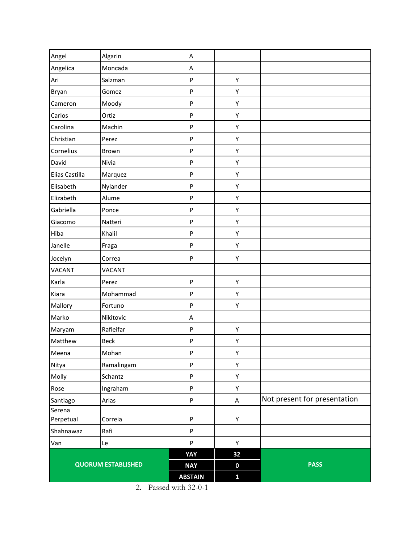| Angel                     | Algarin       | A              |              |                              |
|---------------------------|---------------|----------------|--------------|------------------------------|
| Angelica                  | Moncada       | Α              |              |                              |
| Ari                       | Salzman       | P              | Υ            |                              |
| Bryan                     | Gomez         | P              | Υ            |                              |
| Cameron                   | Moody         | P              | Υ            |                              |
| Carlos                    | Ortiz         | P              | Υ            |                              |
| Carolina                  | Machin        | P              | Υ            |                              |
| Christian                 | Perez         | P              | Υ            |                              |
| Cornelius                 | Brown         | P              | Υ            |                              |
| David                     | Nivia         | P              | Υ            |                              |
| Elias Castilla            | Marquez       | P              | Υ            |                              |
| Elisabeth                 | Nylander      | P              | Υ            |                              |
| Elizabeth                 | Alume         | P              | Υ            |                              |
| Gabriella                 | Ponce         | P              | Υ            |                              |
| Giacomo                   | Natteri       | P              | Υ            |                              |
| Hiba                      | Khalil        | P              | Υ            |                              |
| Janelle                   | Fraga         | P              | Υ            |                              |
| Jocelyn                   | Correa        | P              | Υ            |                              |
| <b>VACANT</b>             | <b>VACANT</b> |                |              |                              |
| Karla                     | Perez         | P              | Υ            |                              |
| Kiara                     | Mohammad      | P              | Υ            |                              |
| Mallory                   | Fortuno       | P              | Υ            |                              |
| Marko                     | Nikitovic     | Α              |              |                              |
| Maryam                    | Rafieifar     | P              | Υ            |                              |
| Matthew                   | <b>Beck</b>   | P              | Υ            |                              |
| Meena                     | Mohan         | P              | Υ            |                              |
| Nitya                     | Ramalingam    | P              | Υ            |                              |
| Molly                     | Schantz       | P              | Υ            |                              |
| Rose                      | Ingraham      | P              | Υ            |                              |
| Santiago                  | Arias         | P              | A            | Not present for presentation |
| Serena                    |               |                |              |                              |
| Perpetual                 | Correia       | P              | Υ            |                              |
| Shahnawaz                 | Rafi          | P              |              |                              |
| Van                       | Le            | P              | Y            |                              |
|                           |               | YAY            | 32           |                              |
| <b>QUORUM ESTABLISHED</b> |               | <b>NAY</b>     | $\pmb{0}$    | <b>PASS</b>                  |
|                           |               | <b>ABSTAIN</b> | $\mathbf{1}$ |                              |

2. Passed with 32-0-1